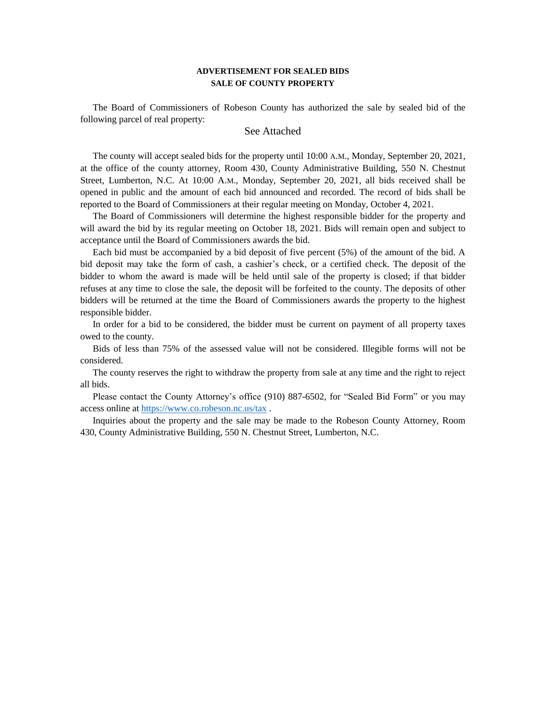## **ADVERTISEMENT FOR SEALED BIDS SALE OF COUNTY PROPERTY**

The Board of Commissioners of Robeson County has authorized the sale by sealed bid of the following parcel of real property:

## See Attached

The county will accept sealed bids for the property until 10:00 A.M., Monday, September 20, 2021, at the office of the county attorney, Room 430, County Administrative Building, 550 N. Chestnut Street, Lumberton, N.C. At 10:00 A.M., Monday, September 20, 2021, all bids received shall be opened in public and the amount of each bid announced and recorded. The record of bids shall be reported to the Board of Commissioners at their regular meeting on Monday, October 4, 2021.

The Board of Commissioners will determine the highest responsible bidder for the property and will award the bid by its regular meeting on October 18, 2021. Bids will remain open and subject to acceptance until the Board of Commissioners awards the bid.

Each bid must be accompanied by a bid deposit of five percent (5%) of the amount of the bid. A bid deposit may take the form of cash, a cashier's check, or a certified check. The deposit of the bidder to whom the award is made will be held until sale of the property is closed; if that bidder refuses at any time to close the sale, the deposit will be forfeited to the county. The deposits of other bidders will be returned at the time the Board of Commissioners awards the property to the highest responsible bidder.

In order for a bid to be considered, the bidder must be current on payment of all property taxes owed to the county.

Bids of less than 75% of the assessed value will not be considered. Illegible forms will not be considered.

The county reserves the right to withdraw the property from sale at any time and the right to reject all bids.

Please contact the County Attorney's office (910) 887-6502, for "Sealed Bid Form" or you may access online a[t https://www.co.robeson.nc.us/tax](https://www.co.robeson.nc.us/tax) .

Inquiries about the property and the sale may be made to the Robeson County Attorney, Room 430, County Administrative Building, 550 N. Chestnut Street, Lumberton, N.C.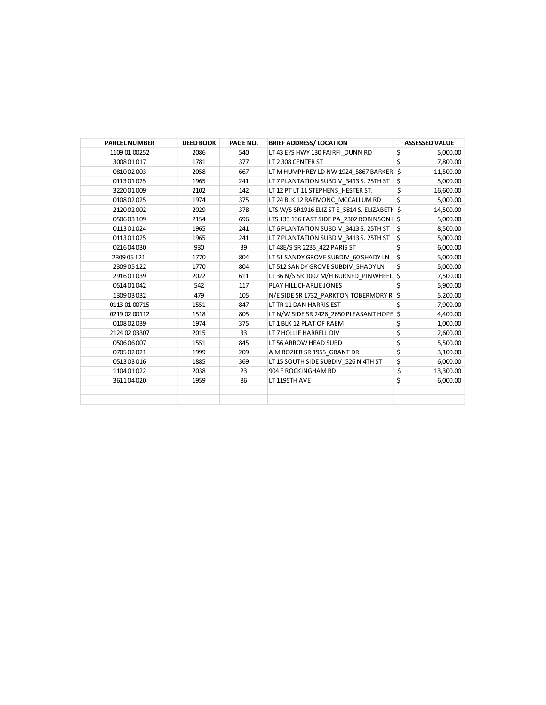| <b>PARCEL NUMBER</b> | <b>DEED BOOK</b> | PAGE NO. | <b>BRIEF ADDRESS/ LOCATION</b>                | <b>ASSESSED VALUE</b> |
|----------------------|------------------|----------|-----------------------------------------------|-----------------------|
| 1109 01 00252        | 2086             | 540      | LT 43 E?S HWY 130 FAIRFI DUNN RD              | \$<br>5,000.00        |
| 3008 01 017          | 1781             | 377      | LT 2 308 CENTER ST                            | \$<br>7,800.00        |
| 0810 02 003          | 2058             | 667      | LT M HUMPHREY LD NW 1924 5867 BARKER          | \$<br>11,500.00       |
| 0113 01 025          | 1965             | 241      | LT 7 PLANTATION SUBDIV 3413 S. 25TH ST        | \$<br>5,000.00        |
| 3220 01 009          | 2102             | 142      | LT 12 PT LT 11 STEPHENS HESTER ST.            | \$<br>16,600.00       |
| 0108 02 025          | 1974             | 375      | LT 24 BLK 12 RAEMONC MCCALLUM RD              | \$<br>5,000.00        |
| 2120 02 002          | 2029             | 378      | LTS W/S SR1916 ELIZ ST E_5814 S. ELIZABETH \$ | 14,500.00             |
| 0506 03 109          | 2154             | 696      | LTS 133 136 EAST SIDE PA 2302 ROBINSON   \$   | 5,000.00              |
| 0113 01 024          | 1965             | 241      | LT 6 PLANTATION SUBDIV 3413 S. 25TH ST        | \$<br>8,500.00        |
| 0113 01 025          | 1965             | 241      | LT 7 PLANTATION SUBDIV 3413 S. 25TH ST        | \$<br>5,000.00        |
| 0216 04 030          | 930              | 39       | LT 48E/S SR 2235 422 PARIS ST                 | \$<br>6,000.00        |
| 2309 05 121          | 1770             | 804      | LT 51 SANDY GROVE SUBDIV_60 SHADY LN          | \$<br>5,000.00        |
| 2309 05 122          | 1770             | 804      | LT 512 SANDY GROVE SUBDIV SHADY LN            | \$<br>5,000.00        |
| 2916 01 039          | 2022             | 611      | LT 36 N/S SR 1002 M/H BURNED PINWHEEL         | \$<br>7,500.00        |
| 0514 01 042          | 542              | 117      | PLAY HILL CHARLIE JONES                       | \$<br>5,900.00        |
| 1309 03 032          | 479              | 105      | N/E SIDE SR 1732 PARKTON TOBERMORY R          | \$<br>5,200.00        |
| 0113 01 00715        | 1551             | 847      | LT TR 11 DAN HARRIS EST                       | \$<br>7,900.00        |
| 0219 02 00112        | 1518             | 805      | LT N/W SIDE SR 2426_2650 PLEASANT HOPE \$     | 4,400.00              |
| 0108 02 039          | 1974             | 375      | LT 1 BLK 12 PLAT OF RAEM                      | \$<br>1,000.00        |
| 2124 02 03307        | 2015             | 33       | LT 7 HOLLIE HARRELL DIV                       | \$<br>2,600.00        |
| 0506 06 007          | 1551             | 845      | LT 56 ARROW HEAD SUBD                         | \$<br>5,500.00        |
| 0705 02 021          | 1999             | 209      | A M ROZIER SR 1955_GRANT DR                   | \$<br>3,100.00        |
| 0513 03 016          | 1885             | 369      | LT 15 SOUTH SIDE SUBDIV 526 N 4TH ST          | \$<br>6,000.00        |
| 1104 01 022          | 2038             | 23       | 904 E ROCKINGHAM RD                           | \$<br>13,300.00       |
| 3611 04 020          | 1959             | 86       | LT 1195TH AVE                                 | \$<br>6,000.00        |
|                      |                  |          |                                               |                       |
|                      |                  |          |                                               |                       |